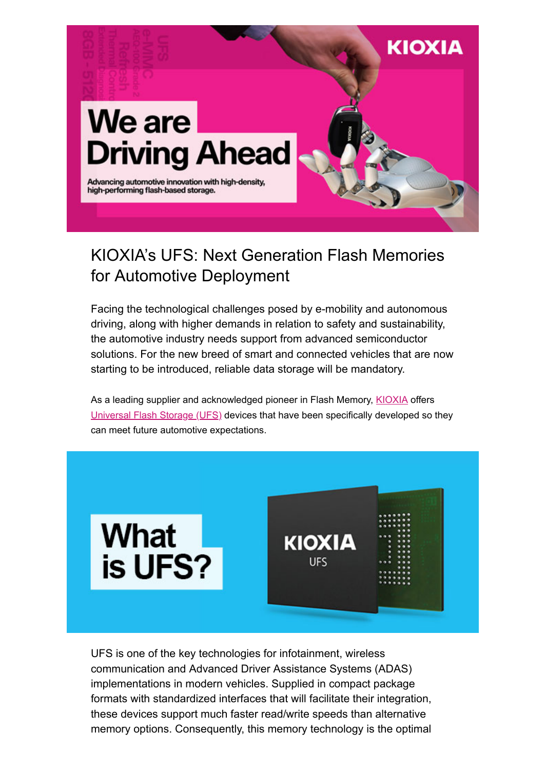

### KIOXIA's UFS: Next Generation Flash Memories for Automotive Deployment

Facing the technological challenges posed by e-mobility and autonomous driving, along with higher demands in relation to safety and sustainability, the automotive industry needs support from advanced semiconductor solutions. For the new breed of smart and connected vehicles that are now starting to be introduced, reliable data storage will be mandatory.

As a leading supplier and acknowledged pioneer in Flash Memory, [KIOXIA](https://www.kioxia.com/en-emea/top.html) offers [Universal Flash Storage \(UFS\)](https://business.kioxia.com/en-emea/memory/mlc-nand/for-automotive.html) devices that have been specifically developed so they can meet future automotive expectations.



UFS is one of the key technologies for infotainment, wireless communication and Advanced Driver Assistance Systems (ADAS) implementations in modern vehicles. Supplied in compact package formats with standardized interfaces that will facilitate their integration, these devices support much faster read/write speeds than alternative memory options. Consequently, this memory technology is the optimal